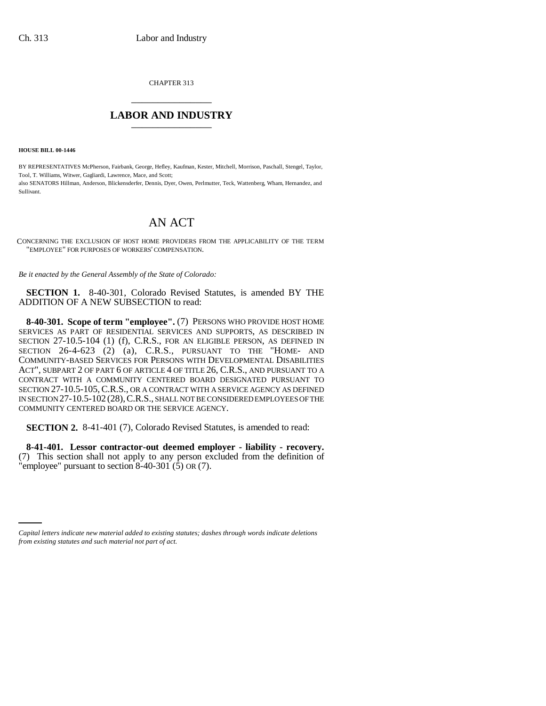CHAPTER 313 \_\_\_\_\_\_\_\_\_\_\_\_\_\_\_

## **LABOR AND INDUSTRY** \_\_\_\_\_\_\_\_\_\_\_\_\_\_\_

**HOUSE BILL 00-1446** 

BY REPRESENTATIVES McPherson, Fairbank, George, Hefley, Kaufman, Kester, Mitchell, Morrison, Paschall, Stengel, Taylor, Tool, T. Williams, Witwer, Gagliardi, Lawrence, Mace, and Scott; also SENATORS Hillman, Anderson, Blickensderfer, Dennis, Dyer, Owen, Perlmutter, Teck, Wattenberg, Wham, Hernandez, and Sullivant.

## AN ACT

CONCERNING THE EXCLUSION OF HOST HOME PROVIDERS FROM THE APPLICABILITY OF THE TERM "EMPLOYEE" FOR PURPOSES OF WORKERS' COMPENSATION.

*Be it enacted by the General Assembly of the State of Colorado:*

**SECTION 1.** 8-40-301, Colorado Revised Statutes, is amended BY THE ADDITION OF A NEW SUBSECTION to read:

**8-40-301. Scope of term "employee".** (7) PERSONS WHO PROVIDE HOST HOME SERVICES AS PART OF RESIDENTIAL SERVICES AND SUPPORTS, AS DESCRIBED IN SECTION 27-10.5-104 (1) (f), C.R.S., FOR AN ELIGIBLE PERSON, AS DEFINED IN SECTION 26-4-623 (2) (a), C.R.S., PURSUANT TO THE "HOME- AND COMMUNITY-BASED SERVICES FOR PERSONS WITH DEVELOPMENTAL DISABILITIES ACT", SUBPART 2 OF PART 6 OF ARTICLE 4 OF TITLE 26, C.R.S., AND PURSUANT TO A CONTRACT WITH A COMMUNITY CENTERED BOARD DESIGNATED PURSUANT TO SECTION 27-10.5-105, C.R.S., OR A CONTRACT WITH A SERVICE AGENCY AS DEFINED IN SECTION 27-10.5-102 (28),C.R.S., SHALL NOT BE CONSIDERED EMPLOYEES OF THE COMMUNITY CENTERED BOARD OR THE SERVICE AGENCY.

**SECTION 2.** 8-41-401 (7), Colorado Revised Statutes, is amended to read:

**8-41-401. Lessor contractor-out deemed employer - liability - recovery.** (7) This section shall not apply to any person excluded from the definition of "employee" pursuant to section  $8-40-301$  (5) OR (7).

*Capital letters indicate new material added to existing statutes; dashes through words indicate deletions from existing statutes and such material not part of act.*